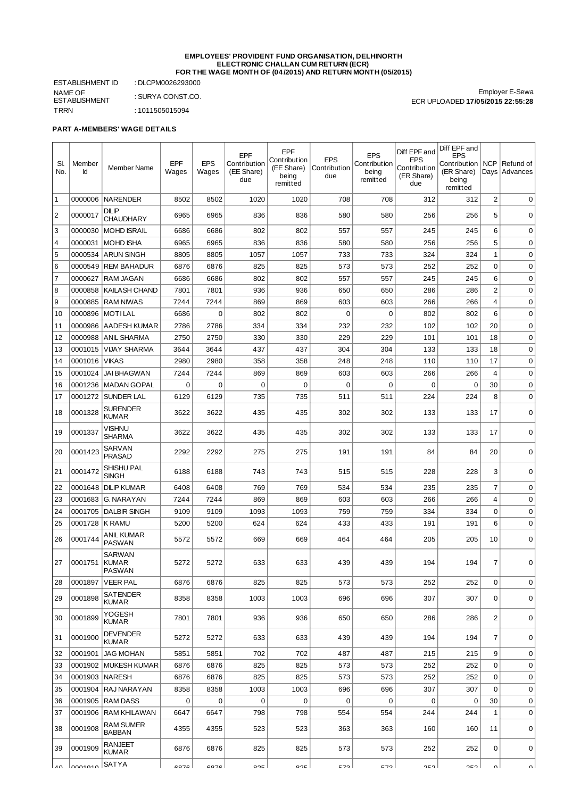#### **EMPLOYEES' PROVIDENT FUND ORGANISATION, DELHINORTH ELECTRONIC CHALLAN CUM RETURN (ECR) FOR THE WAGE MONTH OF (04/2015) AND RETURN MONTH (05/2015)**

ESTABLISHMENT ID : DLCPM0026293000 NAME OF ESTABLISHMENT TRRN : 1011505015094

: SURYA CONST.CO.

Employer E-Sewa ECR UPLOADED **17/05/2015 22:55:28**

# **PART A-MEMBERS' WAGE DETAILS**

| SI.<br>No.       | Member<br>Id | <b>Member Name</b>                | <b>EPF</b><br>Wages | <b>EPS</b><br>Wages | <b>EPF</b><br>Contribution<br>(EE Share)<br>due | EPF<br>Contribution<br>(EE Share)<br>being<br>remitted | <b>EPS</b><br>Contribution<br>due | <b>EPS</b><br>Contribution<br>being<br>remitted | Diff EPF and<br><b>EPS</b><br>Contribution<br>(ER Share)<br>due | Diff EPF and<br><b>EPS</b><br>  Contribution<br>(ER Share)<br>being<br>remitted | <b>NCP</b><br>Days      | Refund of<br>  Advances |
|------------------|--------------|-----------------------------------|---------------------|---------------------|-------------------------------------------------|--------------------------------------------------------|-----------------------------------|-------------------------------------------------|-----------------------------------------------------------------|---------------------------------------------------------------------------------|-------------------------|-------------------------|
| $1\,$            | 0000006      | <b>NARENDER</b>                   | 8502                | 8502                | 1020                                            | 1020                                                   | 708                               | 708                                             | 312                                                             | 312                                                                             | $\overline{\mathbf{c}}$ | 0                       |
| $\overline{2}$   | 0000017      | <b>DILIP</b><br><b>CHAUDHARY</b>  | 6965                | 6965                | 836                                             | 836                                                    | 580                               | 580                                             | 256                                                             | 256                                                                             | 5                       | 0                       |
| 3                | 0000030      | <b>MOHD ISRAIL</b>                | 6686                | 6686                | 802                                             | 802                                                    | 557                               | 557                                             | 245                                                             | 245                                                                             | 6                       | 0                       |
| $\overline{4}$   | 0000031      | <b>MOHD ISHA</b>                  | 6965                | 6965                | 836                                             | 836                                                    | 580                               | 580                                             | 256                                                             | 256                                                                             | 5                       | 0                       |
| 5                | 0000534      | <b>ARUN SINGH</b>                 | 8805                | 8805                | 1057                                            | 1057                                                   | 733                               | 733                                             | 324                                                             | 324                                                                             | 1                       | 0                       |
| 6                | 0000549      | <b>REM BAHADUR</b>                | 6876                | 6876                | 825                                             | 825                                                    | 573                               | 573                                             | 252                                                             | 252                                                                             | 0                       | 0                       |
| $\overline{7}$   | 0000627      | RAM JAGAN                         | 6686                | 6686                | 802                                             | 802                                                    | 557                               | 557                                             | 245                                                             | 245                                                                             | 6                       | 0                       |
| 8                | 0000858      | <b>KAILASH CHAND</b>              | 7801                | 7801                | 936                                             | 936                                                    | 650                               | 650                                             | 286                                                             | 286                                                                             | $\overline{c}$          | 0                       |
| 9                | 0000885      | <b>RAM NIWAS</b>                  | 7244                | 7244                | 869                                             | 869                                                    | 603                               | 603                                             | 266                                                             | 266                                                                             | 4                       | 0                       |
| 10               | 0000896      | <b>MOTILAL</b>                    | 6686                | 0                   | 802                                             | 802                                                    | $\mathbf 0$                       | $\mathbf 0$                                     | 802                                                             | 802                                                                             | 6                       | 0                       |
| 11               | 0000986      | <b>AADESH KUMAR</b>               | 2786                | 2786                | 334                                             | 334                                                    | 232                               | 232                                             | 102                                                             | 102                                                                             | 20                      | $\mathbf 0$             |
| 12               | 0000988      | <b>ANIL SHARMA</b>                | 2750                | 2750                | 330                                             | 330                                                    | 229                               | 229                                             | 101                                                             | 101                                                                             | 18                      | 0                       |
| 13               | 0001015      | <b>VIJAY SHARMA</b>               | 3644                | 3644                | 437                                             | 437                                                    | 304                               | 304                                             | 133                                                             | 133                                                                             | 18                      | 0                       |
| 14               | 0001016      | <b>VIKAS</b>                      | 2980                | 2980                | 358                                             | 358                                                    | 248                               | 248                                             | 110                                                             | 110                                                                             | 17                      | 0                       |
| 15               | 0001024      | <b>JAI BHAGWAN</b>                | 7244                | 7244                | 869                                             | 869                                                    | 603                               | 603                                             | 266                                                             | 266                                                                             | 4                       | 0                       |
| 16               | 0001236      | <b>MADAN GOPAL</b>                | 0                   | $\mathbf 0$         | 0                                               | 0                                                      | $\mathbf 0$                       | $\Omega$                                        | $\mathbf 0$                                                     | 0                                                                               | 30                      | 0                       |
| 17               | 0001272      | <b>SUNDER LAL</b>                 | 6129                | 6129                | 735                                             | 735                                                    | 511                               | 511                                             | 224                                                             | 224                                                                             | 8                       | $\mathbf 0$             |
| 18               | 0001328      | <b>SURENDER</b><br><b>KUMAR</b>   | 3622                | 3622                | 435                                             | 435                                                    | 302                               | 302                                             | 133                                                             | 133                                                                             | 17                      | 0                       |
| 19               | 0001337      | Vishnu<br><b>SHARMA</b>           | 3622                | 3622                | 435                                             | 435                                                    | 302                               | 302                                             | 133                                                             | 133                                                                             | 17                      | $\mathbf 0$             |
| 20               | 0001423      | SARVAN<br><b>PRASAD</b>           | 2292                | 2292                | 275                                             | 275                                                    | 191                               | 191                                             | 84                                                              | 84                                                                              | 20                      | 0                       |
| 21               | 0001472      | SHISHU PAL<br><b>SINGH</b>        | 6188                | 6188                | 743                                             | 743                                                    | 515                               | 515                                             | 228                                                             | 228                                                                             | 3                       | 0                       |
| 22               | 0001648      | <b>DILIP KUMAR</b>                | 6408                | 6408                | 769                                             | 769                                                    | 534                               | 534                                             | 235                                                             | 235                                                                             | $\overline{7}$          | 0                       |
| 23               | 0001683      | G. NARAYAN                        | 7244                | 7244                | 869                                             | 869                                                    | 603                               | 603                                             | 266                                                             | 266                                                                             | 4                       | 0                       |
| 24               | 0001705      | <b>DALBIR SINGH</b>               | 9109                | 9109                | 1093                                            | 1093                                                   | 759                               | 759                                             | 334                                                             | 334                                                                             | $\mathbf 0$             | 0                       |
| 25               | 0001728      | <b>K RAMU</b>                     | 5200                | 5200                | 624                                             | 624                                                    | 433                               | 433                                             | 191                                                             | 191                                                                             | 6                       | $\mathbf 0$             |
| 26               | 0001744      | ANIL KUMAR<br><b>PASWAN</b>       | 5572                | 5572                | 669                                             | 669                                                    | 464                               | 464                                             | 205                                                             | 205                                                                             | 10                      | 0                       |
| 27               | 0001751      | SARWAN<br><b>KUMAR</b><br>PASWAN  | 5272                | 5272                | 633                                             | 633                                                    | 439                               | 439                                             | 194                                                             | 194                                                                             | 7                       | 0                       |
| 28               | 0001897      | <b>VEER PAL</b>                   | 6876                | 6876                | 825                                             | 825                                                    | 573                               | 573                                             | 252                                                             | 252                                                                             | 0                       | 0                       |
| 29               | 0001898      | <b>SATENDER</b><br><b>KUMAR</b>   | 8358                | 8358                | 1003                                            | 1003                                                   | 696                               | 696                                             | 307                                                             | 307                                                                             | 0                       | 0                       |
| 30               | 0001899      | YOGESH<br><b>KUMAR</b>            | 7801                | 7801                | 936                                             | 936                                                    | 650                               | 650                                             | 286                                                             | 286                                                                             | 2                       | 0                       |
| 31               | 0001900      | <b>DEVENDER</b><br><b>KUMAR</b>   | 5272                | 5272                | 633                                             | 633                                                    | 439                               | 439                                             | 194                                                             | 194                                                                             | $\overline{7}$          | 0                       |
| 32               | 0001901      | <b>JAG MOHAN</b>                  | 5851                | 5851                | 702                                             | 702                                                    | 487                               | 487                                             | 215                                                             | 215                                                                             | 9                       | 0                       |
| 33               | 0001902      | MUKESH KUMAR                      | 6876                | 6876                | 825                                             | 825                                                    | 573                               | 573                                             | 252                                                             | 252                                                                             | 0                       | $\mathbf 0$             |
| 34               | 0001903      | <b>NARESH</b>                     | 6876                | 6876                | 825                                             | 825                                                    | 573                               | 573                                             | 252                                                             | 252                                                                             | $\mathbf 0$             | $\mathbf 0$             |
| 35               | 0001904      | RAJ NARAYAN                       | 8358                | 8358                | 1003                                            | 1003                                                   | 696                               | 696                                             | 307                                                             | 307                                                                             | $\Omega$                | $\pmb{0}$               |
| 36               | 0001905      | <b>RAM DASS</b>                   | 0                   | 0                   | $\mathbf 0$                                     | 0                                                      | $\mathbf 0$                       | $\mathbf 0$                                     | 0                                                               | 0                                                                               | 30                      | $\mathbf 0$             |
| 37               | 0001906      | <b>RAM KHILAWAN</b>               | 6647                | 6647                | 798                                             | 798                                                    | 554                               | 554                                             | 244                                                             | 244                                                                             | 1                       | 0                       |
| 38               | 0001908      | <b>RAM SUMER</b><br><b>BABBAN</b> | 4355                | 4355                | 523                                             | 523                                                    | 363                               | 363                                             | 160                                                             | 160                                                                             | 11                      | 0                       |
| 39               | 0001909      | <b>RANJEET</b><br><b>KUMAR</b>    | 6876                | 6876                | 825                                             | 825                                                    | 573                               | 573                                             | 252                                                             | 252                                                                             | 0                       | 0                       |
| $\Lambda$ $\cap$ | InM1010      | SATYA                             | 07C                 | 07C                 | 02E                                             | 02E                                                    | ロフつ                               | ロフつ                                             | ∣ ר⊐ר                                                           | ר⊐ר                                                                             | $\sim$                  | ΩI                      |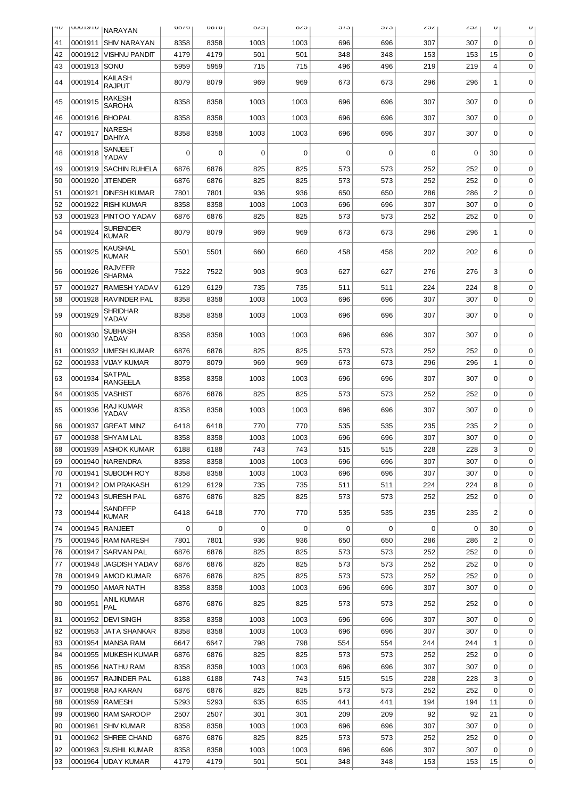| 4U | <b>NONTATO</b> | <b>NARAYAN</b>                   | 0010 | 0010 | c∠o  | c∠o  | <b>J</b> / J | <b>J</b> / J | ∠ت∠ | 202 | U                       | U           |
|----|----------------|----------------------------------|------|------|------|------|--------------|--------------|-----|-----|-------------------------|-------------|
| 41 | 0001911        | <b>SHIV NARAYAN</b>              | 8358 | 8358 | 1003 | 1003 | 696          | 696          | 307 | 307 | 0                       | 0           |
| 42 | 0001912        | <b>VISHNU PANDIT</b>             | 4179 | 4179 | 501  | 501  | 348          | 348          | 153 | 153 | 15                      | 0           |
| 43 | 0001913        | SONU                             | 5959 | 5959 | 715  | 715  | 496          | 496          | 219 | 219 | 4                       | 0           |
| 44 | 0001914        | KAILASH<br><b>RAJPUT</b>         | 8079 | 8079 | 969  | 969  | 673          | 673          | 296 | 296 | 1                       | $\mathbf 0$ |
| 45 | 0001915        | RAKESH<br><b>SAROHA</b>          | 8358 | 8358 | 1003 | 1003 | 696          | 696          | 307 | 307 | 0                       | $\mathbf 0$ |
| 46 | 0001916        | <b>BHOPAL</b>                    | 8358 | 8358 | 1003 | 1003 | 696          | 696          | 307 | 307 | 0                       | 0           |
| 47 | 0001917        | <b>NARESH</b><br><b>DAHIYA</b>   | 8358 | 8358 | 1003 | 1003 | 696          | 696          | 307 | 307 | 0                       | $\mathbf 0$ |
| 48 | 0001918        | SANJEET<br>YADAV                 | 0    | 0    | 0    | 0    | $\Omega$     | 0            | 0   | 0   | 30                      | 0           |
| 49 | 0001919        | <b>SACHIN RUHELA</b>             | 6876 | 6876 | 825  | 825  | 573          | 573          | 252 | 252 | 0                       | 0           |
| 50 | 0001920        | <b>JITENDER</b>                  | 6876 | 6876 | 825  | 825  | 573          | 573          | 252 | 252 | $\mathbf 0$             | 0           |
| 51 | 0001921        | <b>DINESH KUMAR</b>              | 7801 | 7801 | 936  | 936  | 650          | 650          | 286 | 286 | $\overline{\mathbf{c}}$ | 0           |
| 52 | 0001922        | <b>RISHI KUMAR</b>               | 8358 | 8358 | 1003 | 1003 | 696          | 696          | 307 | 307 | 0                       | 0           |
| 53 | 0001923        | <b>PINTOO YADAV</b>              | 6876 | 6876 | 825  | 825  | 573          | 573          | 252 | 252 | 0                       | 0           |
| 54 | 0001924        | <b>SURENDER</b><br><b>KUMAR</b>  | 8079 | 8079 | 969  | 969  | 673          | 673          | 296 | 296 | 1                       | $\mathbf 0$ |
| 55 | 0001925        | KAUSHAL<br>KUMAR                 | 5501 | 5501 | 660  | 660  | 458          | 458          | 202 | 202 | 6                       | $\mathbf 0$ |
| 56 | 0001926        | <b>RAJVEER</b><br>SHARMA         | 7522 | 7522 | 903  | 903  | 627          | 627          | 276 | 276 | 3                       | $\mathbf 0$ |
| 57 | 0001927        | <b>RAMESH YADAV</b>              | 6129 | 6129 | 735  | 735  | 511          | 511          | 224 | 224 | 8                       | 0           |
| 58 | 0001928        | <b>RAVINDER PAL</b>              | 8358 | 8358 | 1003 | 1003 | 696          | 696          | 307 | 307 | 0                       | 0           |
| 59 | 0001929        | <b>SHRIDHAR</b><br>YADAV         | 8358 | 8358 | 1003 | 1003 | 696          | 696          | 307 | 307 | 0                       | $\mathbf 0$ |
| 60 | 0001930        | SUBHASH<br>YADAV                 | 8358 | 8358 | 1003 | 1003 | 696          | 696          | 307 | 307 | 0                       | 0           |
| 61 | 0001932        | <b>UMESH KUMAR</b>               | 6876 | 6876 | 825  | 825  | 573          | 573          | 252 | 252 | 0                       | 0           |
| 62 | 0001933        | <b>VIJAY KUMAR</b>               | 8079 | 8079 | 969  | 969  | 673          | 673          | 296 | 296 | $\mathbf 1$             | 0           |
| 63 | 0001934        | <b>SATPAL</b><br><b>RANGEELA</b> | 8358 | 8358 | 1003 | 1003 | 696          | 696          | 307 | 307 | 0                       | $\mathbf 0$ |
| 64 | 0001935        | <b>VASHIST</b>                   | 6876 | 6876 | 825  | 825  | 573          | 573          | 252 | 252 | $\mathbf 0$             | 0           |
| 65 | 0001936        | RAJ KUMAR<br>YADAV               | 8358 | 8358 | 1003 | 1003 | 696          | 696          | 307 | 307 | 0                       | 0           |
| 66 | 0001937        | <b>GREAT MINZ</b>                | 6418 | 6418 | 770  | 770  | 535          | 535          | 235 | 235 | 2                       | 0           |
| 67 |                | 0001938   SHYAM LAL              | 8358 | 8358 | 1003 | 1003 | 696          | 696          | 307 | 307 | 0                       | 0           |
| 68 |                | 0001939 ASHOK KUMAR              | 6188 | 6188 | 743  | 743  | 515          | 515          | 228 | 228 | 3                       | $\Omega$    |
| 69 |                | 0001940   NARENDRA               | 8358 | 8358 | 1003 | 1003 | 696          | 696          | 307 | 307 | $\Omega$                | 0           |
| 70 |                | 0001941   SUBODH ROY             | 8358 | 8358 | 1003 | 1003 | 696          | 696          | 307 | 307 | 0                       | 0           |
| 71 |                | 0001942   OM PRAKASH             | 6129 | 6129 | 735  | 735  | 511          | 511          | 224 | 224 | 8                       | 0           |
| 72 |                | 0001943   SURESH PAL<br>SANDEEP  | 6876 | 6876 | 825  | 825  | 573          | 573          | 252 | 252 | 0                       | 0           |
| 73 | 0001944        | <b>KUMAR</b>                     | 6418 | 6418 | 770  | 770  | 535          | 535          | 235 | 235 | 2                       | 0           |
| 74 |                | 0001945   RANJEET                | 0    | 0    | 0    | 0    | 0            | 0            | 0   | 0   | 30                      | 0           |
| 75 |                | 0001946   RAM NARESH             | 7801 | 7801 | 936  | 936  | 650          | 650          | 286 | 286 | 2                       | $\mathbf 0$ |
| 76 |                | 0001947   SARVAN PAL             | 6876 | 6876 | 825  | 825  | 573          | 573          | 252 | 252 | $\mathbf 0$             | 0           |
| 77 |                | 0001948   JAGDISH YADAV          | 6876 | 6876 | 825  | 825  | 573          | 573          | 252 | 252 | 0                       | 0           |
| 78 |                | 0001949   AMOD KUMAR             | 6876 | 6876 | 825  | 825  | 573          | 573          | 252 | 252 | $\mathbf 0$             | 0           |
| 79 |                | 0001950   AMAR NATH              | 8358 | 8358 | 1003 | 1003 | 696          | 696          | 307 | 307 | $\mathbf 0$             | 0           |
| 80 | 0001951        | ANIL KUMAR<br>PAL                | 6876 | 6876 | 825  | 825  | 573          | 573          | 252 | 252 | 0                       | 0           |
| 81 |                | 0001952   DEVI SINGH             | 8358 | 8358 | 1003 | 1003 | 696          | 696          | 307 | 307 | 0                       | 0           |
| 82 |                | 0001953   JATA SHANKAR           | 8358 | 8358 | 1003 | 1003 | 696          | 696          | 307 | 307 | 0                       | 0           |
| 83 |                | 0001954   MANSA RAM              | 6647 | 6647 | 798  | 798  | 554          | 554          | 244 | 244 | 1                       | 0           |
| 84 |                | 0001955   MUKESH KUMAR           | 6876 | 6876 | 825  | 825  | 573          | 573          | 252 | 252 | $\mathbf 0$             | 0           |
| 85 |                | 0001956   NATHU RAM              | 8358 | 8358 | 1003 | 1003 | 696          | 696          | 307 | 307 | 0                       | 0           |
| 86 |                | 0001957   RAJINDER PAL           | 6188 | 6188 | 743  | 743  | 515          | 515          | 228 | 228 | 3                       | 0           |
| 87 |                | 0001958   RAJ KARAN              | 6876 | 6876 | 825  | 825  | 573          | 573          | 252 | 252 | 0                       | 0           |
| 88 |                | 0001959   RAMESH                 | 5293 | 5293 | 635  | 635  | 441          | 441          | 194 | 194 | 11                      | 0           |
| 89 |                | 0001960 RAM SAROOP               | 2507 | 2507 | 301  | 301  | 209          | 209          | 92  | 92  | 21                      | 0           |
| 90 |                | 0001961 SHIV KUMAR               | 8358 | 8358 | 1003 | 1003 | 696          | 696          | 307 | 307 | $\mathbf 0$             | 0           |
| 91 |                | 0001962   SHREE CHAND            | 6876 | 6876 | 825  | 825  | 573          | 573          | 252 | 252 | 0                       | 0           |
| 92 |                | 0001963 SUSHIL KUMAR             | 8358 | 8358 | 1003 | 1003 | 696          | 696          | 307 | 307 | 0                       | 0           |
| 93 |                | 0001964 UDAY KUMAR               | 4179 | 4179 | 501  | 501  | 348          | 348          | 153 | 153 | 15                      | 0           |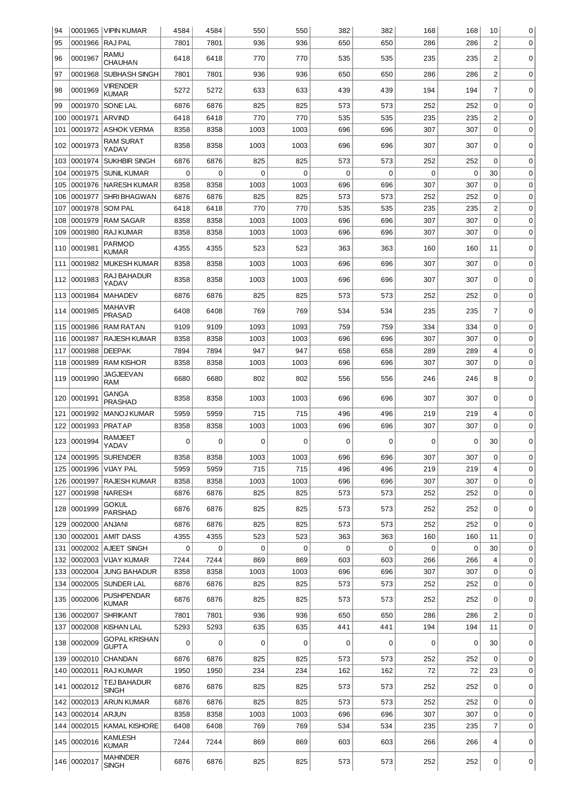| 94  |             | 0001965   VIPIN KUMAR             | 4584 | 4584 | 550         | 550         | 382         | 382         | 168 | 168         | 10             | 0           |
|-----|-------------|-----------------------------------|------|------|-------------|-------------|-------------|-------------|-----|-------------|----------------|-------------|
| 95  | 0001966     | RAJ PAL                           | 7801 | 7801 | 936         | 936         | 650         | 650         | 286 | 286         | $\overline{2}$ | 0           |
| 96  | 0001967     | <b>RAMU</b>                       | 6418 | 6418 | 770         | 770         | 535         | 535         | 235 | 235         | 2              | 0           |
|     |             | <b>CHAUHAN</b>                    |      |      |             |             |             |             |     |             |                |             |
| 97  | 0001968     | SUBHASH SINGH                     | 7801 | 7801 | 936         | 936         | 650         | 650         | 286 | 286         | $\overline{c}$ | 0           |
| 98  | 0001969     | VIRENDER<br><b>KUMAR</b>          | 5272 | 5272 | 633         | 633         | 439         | 439         | 194 | 194         | 7              | 0           |
| 99  | 0001970     | SONE LAL                          | 6876 | 6876 | 825         | 825         | 573         | 573         | 252 | 252         | 0              | 0           |
| 100 | 0001971     | <b>ARVIND</b>                     | 6418 | 6418 | 770         | 770         | 535         | 535         | 235 | 235         | $\overline{c}$ | 0           |
| 101 | 0001972     | <b>ASHOK VERMA</b>                | 8358 | 8358 | 1003        | 1003        | 696         | 696         | 307 | 307         | $\mathbf 0$    | $\mathbf 0$ |
|     |             |                                   |      |      |             |             |             |             |     |             |                |             |
| 102 | 0001973     | <b>RAM SURAT</b><br>YADAV         | 8358 | 8358 | 1003        | 1003        | 696         | 696         | 307 | 307         | $\Omega$       | 0           |
| 103 | 0001974     | <b>SUKHBIR SINGH</b>              | 6876 | 6876 | 825         | 825         | 573         | 573         | 252 | 252         | $\Omega$       | 0           |
| 104 | 0001975     | <b>SUNIL KUMAR</b>                | 0    | 0    | 0           | 0           | 0           | $\mathbf 0$ | 0   | 0           | 30             | 0           |
| 105 | 0001976     | <b>NARESH KUMAR</b>               | 8358 | 8358 | 1003        | 1003        | 696         | 696         | 307 | 307         | $\Omega$       | 0           |
| 106 | 0001977     | <b>SHRI BHAGWAN</b>               | 6876 | 6876 | 825         | 825         | 573         | 573         | 252 | 252         | 0              | 0           |
| 107 | 0001978     | <b>SOM PAL</b>                    | 6418 | 6418 | 770         | 770         | 535         | 535         | 235 | 235         | $\overline{c}$ | 0           |
| 108 | 0001979     | <b>RAM SAGAR</b>                  | 8358 | 8358 | 1003        | 1003        | 696         | 696         | 307 | 307         | $\mathbf 0$    | 0           |
| 109 | 0001980     | <b>RAJ KUMAR</b>                  | 8358 | 8358 | 1003        | 1003        | 696         | 696         | 307 | 307         | $\mathbf 0$    | 0           |
|     |             | <b>PARMOD</b>                     |      |      |             |             |             |             |     |             |                |             |
| 110 | 0001981     | <b>KUMAR</b>                      | 4355 | 4355 | 523         | 523         | 363         | 363         | 160 | 160         | 11             | 0           |
| 111 | 0001982     | <b>MUKESH KUMAR</b>               | 8358 | 8358 | 1003        | 1003        | 696         | 696         | 307 | 307         | $\mathbf 0$    | 0           |
| 112 | 0001983     | <b>RAJ BAHADUR</b>                | 8358 | 8358 | 1003        | 1003        | 696         | 696         | 307 | 307         | 0              | 0           |
|     |             | YADAV                             |      |      |             |             |             |             |     |             |                |             |
| 113 | 0001984     | <b>MAHADEV</b>                    | 6876 | 6876 | 825         | 825         | 573         | 573         | 252 | 252         | 0              | 0           |
| 114 | 0001985     | <b>MAHAVIR</b><br><b>PRASAD</b>   | 6408 | 6408 | 769         | 769         | 534         | 534         | 235 | 235         | 7              | 0           |
| 115 | 0001986     | <b>RAM RATAN</b>                  | 9109 | 9109 | 1093        | 1093        | 759         | 759         | 334 | 334         | $\mathbf 0$    | 0           |
| 116 | 0001987     | <b>RAJESH KUMAR</b>               | 8358 | 8358 | 1003        | 1003        | 696         | 696         | 307 | 307         | 0              | 0           |
| 117 | 0001988     | <b>DEEPAK</b>                     | 7894 | 7894 | 947         | 947         | 658         | 658         | 289 | 289         | 4              | 0           |
| 118 | 0001989     | <b>RAM KISHOR</b>                 | 8358 | 8358 | 1003        | 1003        | 696         | 696         | 307 | 307         | $\mathbf 0$    | $\mathbf 0$ |
|     |             | <b>JAGJEEVAN</b>                  |      |      |             |             |             |             |     |             |                |             |
| 119 | 0001990     | <b>RAM</b>                        | 6680 | 6680 | 802         | 802         | 556         | 556         | 246 | 246         | 8              | 0           |
| 120 | 0001991     | <b>GANGA</b>                      | 8358 | 8358 | 1003        | 1003        | 696         | 696         | 307 | 307         | 0              | 0           |
|     |             | <b>PRASHAD</b>                    |      |      |             |             |             |             |     |             |                |             |
| 121 | 0001992     | <b>MANOJ KUMAR</b>                | 5959 | 5959 | 715         | 715         | 496         | 496         | 219 | 219         | 4              | 0           |
| 122 | 0001993     | <b>PRATAP</b>                     | 8358 | 8358 | 1003        | 1003        | 696         | 696         | 307 | 307         | 0              | 0           |
| 123 | 0001994     | <b>RAMJEET</b>                    | 0    | 0    | 0           | 0           | 0           | $\mathbf 0$ | 0   | 0           | 30             | $\mathbf 0$ |
|     |             | YADAV                             |      |      |             |             |             |             |     |             |                |             |
| 124 | 0001995     | <b>SURENDER</b>                   | 8358 | 8358 | 1003        | 1003        | 696         | 696         | 307 | 307         | 0              | 0           |
| 125 | 0001996     | <b>VIJAY PAL</b>                  | 5959 | 5959 | 715         | 715         | 496         | 496         | 219 | 219         | 4              | 0           |
| 126 | 0001997     | <b>RAJESH KUMAR</b>               | 8358 | 8358 | 1003        | 1003        | 696         | 696         | 307 | 307         | $\Omega$       | 0           |
| 127 | 0001998     | <b>NARESH</b>                     | 6876 | 6876 | 825         | 825         | 573         | 573         | 252 | 252         | 0              | 0           |
| 128 | 0001999     | <b>GOKUL</b><br><b>PARSHAD</b>    | 6876 | 6876 | 825         | 825         | 573         | 573         | 252 | 252         | 0              | 0           |
| 129 | 0002000     | ANJANI                            | 6876 | 6876 | 825         | 825         | 573         | 573         | 252 | 252         | $\mathbf 0$    | 0           |
| 130 | 0002001     | <b>AMIT DASS</b>                  | 4355 | 4355 | 523         | 523         | 363         | 363         | 160 | 160         | 11             | 0           |
| 131 | 0002002     | AJEET SINGH                       | 0    | 0    | $\mathbf 0$ | $\mathbf 0$ | $\mathbf 0$ | $\mathbf 0$ | 0   | $\mathbf 0$ | 30             | 0           |
| 132 | 0002003     | <b>VIJAY KUMAR</b>                | 7244 | 7244 | 869         | 869         | 603         | 603         | 266 | 266         | 4              | 0           |
| 133 | 0002004     | <b>JUNG BAHADUR</b>               | 8358 | 8358 | 1003        | 1003        | 696         | 696         | 307 | 307         | 0              | 0           |
| 134 | 0002005     | SUNDER LAL                        | 6876 | 6876 | 825         | 825         | 573         | 573         | 252 | 252         | 0              | 0           |
|     |             | <b>PUSHPENDAR</b>                 |      |      |             |             |             |             |     |             |                |             |
| 135 | 0002006     | <b>KUMAR</b>                      | 6876 | 6876 | 825         | 825         | 573         | 573         | 252 | 252         | 0              | 0           |
| 136 | 0002007     | <b>SHRIKANT</b>                   | 7801 | 7801 | 936         | 936         | 650         | 650         | 286 | 286         | 2              | 0           |
| 137 | 0002008     | <b>KISHAN LAL</b>                 | 5293 | 5293 | 635         | 635         | 441         | 441         | 194 | 194         | 11             | 0           |
| 138 | 0002009     | <b>GOPAL KRISHAN</b>              | 0    | 0    | 0           | 0           | 0           | 0           | 0   | 0           | 30             | 0           |
|     |             | <b>GUPTA</b>                      |      |      |             |             |             |             |     |             |                |             |
| 139 | 0002010     | <b>CHANDAN</b>                    | 6876 | 6876 | 825         | 825         | 573         | 573         | 252 | 252         | 0              | 0           |
| 140 | 0002011     | <b>RAJ KUMAR</b>                  | 1950 | 1950 | 234         | 234         | 162         | 162         | 72  | 72          | 23             | 0           |
| 141 | 0002012     | TEJ BAHADUR                       | 6876 | 6876 | 825         | 825         | 573         | 573         | 252 | 252         | 0              | 0           |
|     | 0002013     | <b>SINGH</b><br><b>ARUN KUMAR</b> |      | 6876 | 825         |             | 573         | 573         |     | 252         | $\mathbf 0$    | 0           |
| 142 |             |                                   | 6876 |      |             | 825         |             |             | 252 |             |                |             |
| 143 | 0002014     | <b>ARJUN</b>                      | 8358 | 8358 | 1003        | 1003        | 696         | 696         | 307 | 307         | 0              | 0           |
| 144 | 0002015     | <b>KAMAL KISHORE</b>              | 6408 | 6408 | 769         | 769         | 534         | 534         | 235 | 235         | 7              | 0           |
|     | 145 0002016 | <b>KAMLESH</b><br><b>KUMAR</b>    | 7244 | 7244 | 869         | 869         | 603         | 603         | 266 | 266         | 4              | 0           |
|     |             | <b>MAHINDER</b>                   |      |      |             |             |             |             |     |             |                |             |
|     | 146 0002017 | <b>SINGH</b>                      | 6876 | 6876 | 825         | 825         | 573         | 573         | 252 | 252         | 0              | 0           |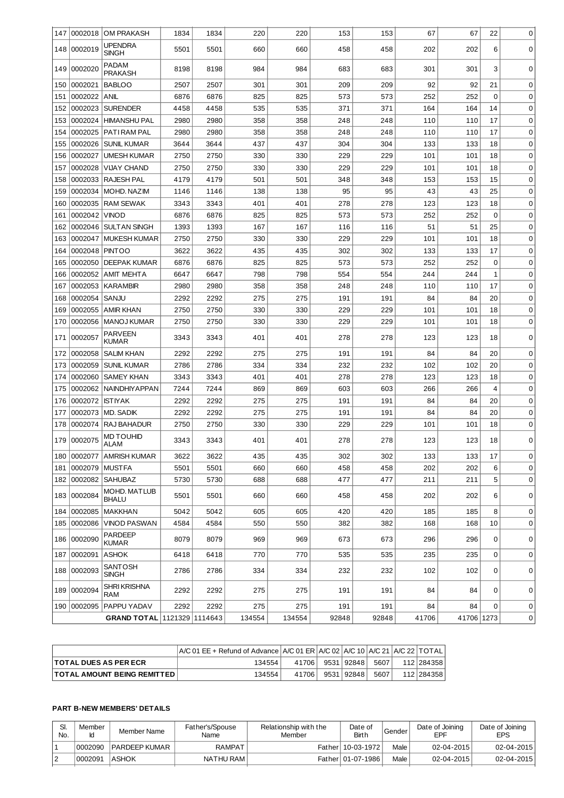| 147 | 0002018     | <b>OM PRAKASH</b>              | 1834 | 1834 | 220    | 220    | 153   | 153   | 67    | 67         | 22          | $\mathbf 0$ |
|-----|-------------|--------------------------------|------|------|--------|--------|-------|-------|-------|------------|-------------|-------------|
|     | 148 0002019 | <b>UPENDRA</b><br><b>SINGH</b> | 5501 | 5501 | 660    | 660    | 458   | 458   | 202   | 202        | 6           | $\mathbf 0$ |
|     | 149 0002020 | <b>PADAM</b><br><b>PRAKASH</b> | 8198 | 8198 | 984    | 984    | 683   | 683   | 301   | 301        | 3           | $\mathbf 0$ |
| 150 | 0002021     | <b>BABLOO</b>                  | 2507 | 2507 | 301    | 301    | 209   | 209   | 92    | 92         | 21          | 0           |
| 151 | 0002022     | <b>ANIL</b>                    | 6876 | 6876 | 825    | 825    | 573   | 573   | 252   | 252        | 0           | 0           |
| 152 | 0002023     | <b>SURENDER</b>                | 4458 | 4458 | 535    | 535    | 371   | 371   | 164   | 164        | 14          | 0           |
| 153 | 0002024     | <b>HIMANSHU PAL</b>            | 2980 | 2980 | 358    | 358    | 248   | 248   | 110   | 110        | 17          | 0           |
| 154 | 0002025     | PATIRAM PAL                    | 2980 | 2980 | 358    | 358    | 248   | 248   | 110   | 110        | 17          | 0           |
| 155 | 0002026     | <b>SUNIL KUMAR</b>             | 3644 | 3644 | 437    | 437    | 304   | 304   | 133   | 133        | 18          | 0           |
| 156 | 0002027     | <b>UMESH KUMAR</b>             | 2750 | 2750 | 330    | 330    | 229   | 229   | 101   | 101        | 18          | 0           |
| 157 | 0002028     | <b>VIJAY CHAND</b>             | 2750 | 2750 | 330    | 330    | 229   | 229   | 101   | 101        | 18          | 0           |
| 158 | 0002033     | <b>RAJESH PAL</b>              | 4179 | 4179 | 501    | 501    | 348   | 348   | 153   | 153        | 15          | 0           |
| 159 | 0002034     | MOHD. NAZIM                    | 1146 | 1146 | 138    | 138    | 95    | 95    | 43    | 43         | 25          | 0           |
| 160 | 0002035     | <b>RAM SEWAK</b>               | 3343 | 3343 | 401    | 401    | 278   | 278   | 123   | 123        | 18          | 0           |
| 161 | 0002042     | <b>VINOD</b>                   | 6876 | 6876 | 825    | 825    | 573   | 573   | 252   | 252        | 0           | 0           |
| 162 | 0002046     | <b>SULTAN SINGH</b>            | 1393 | 1393 | 167    | 167    | 116   | 116   | 51    | 51         | 25          | $\mathbf 0$ |
| 163 | 0002047     | <b>MUKESH KUMAR</b>            | 2750 | 2750 | 330    | 330    | 229   | 229   | 101   | 101        | 18          | 0           |
| 164 | 0002048     | <b>PINTOO</b>                  | 3622 | 3622 | 435    | 435    | 302   | 302   | 133   | 133        | 17          | 0           |
| 165 | 0002050     | <b>DEEPAK KUMAR</b>            | 6876 | 6876 | 825    | 825    | 573   | 573   | 252   | 252        | 0           | 0           |
| 166 | 0002052     | <b>AMIT MEHTA</b>              | 6647 | 6647 | 798    | 798    | 554   | 554   | 244   | 244        | 1           | 0           |
| 167 | 0002053     | <b>KARAMBIR</b>                | 2980 | 2980 | 358    | 358    | 248   | 248   | 110   | 110        | 17          | $\mathbf 0$ |
| 168 | 0002054     | SANJU                          | 2292 | 2292 | 275    | 275    | 191   | 191   | 84    | 84         | 20          | 0           |
| 169 | 0002055     | <b>AMIR KHAN</b>               | 2750 | 2750 | 330    | 330    | 229   | 229   | 101   | 101        | 18          | 0           |
| 170 | 0002056     | MANOJ KUMAR                    | 2750 | 2750 | 330    | 330    | 229   | 229   | 101   | 101        | 18          | $\mathbf 0$ |
| 171 | 0002057     | <b>PARVEEN</b><br><b>KUMAR</b> | 3343 | 3343 | 401    | 401    | 278   | 278   | 123   | 123        | 18          | 0           |
| 172 | 0002058     | <b>SALIM KHAN</b>              | 2292 | 2292 | 275    | 275    | 191   | 191   | 84    | 84         | 20          | 0           |
| 173 | 0002059     | <b>SUNIL KUMAR</b>             | 2786 | 2786 | 334    | 334    | 232   | 232   | 102   | 102        | 20          | 0           |
| 174 | 0002060     | <b>SAMEY KHAN</b>              | 3343 | 3343 | 401    | 401    | 278   | 278   | 123   | 123        | 18          | 0           |
| 175 | 0002062     | NAINDHIYAPPAN                  | 7244 | 7244 | 869    | 869    | 603   | 603   | 266   | 266        | 4           | 0           |
| 176 | 0002072     | <b>ISTIYAK</b>                 | 2292 | 2292 | 275    | 275    | 191   | 191   | 84    | 84         | 20          | 0           |
| 177 | 0002073     | <b>MD. SADIK</b>               | 2292 | 2292 | 275    | 275    | 191   | 191   | 84    | 84         | 20          | 0           |
| 178 | 0002074     | RAJ BAHADUR                    | 2750 | 2750 | 330    | 330    | 229   | 229   | 101   | 101        | 18          | 0           |
| 179 | 0002075     | MD TOUHID<br><b>ALAM</b>       | 3343 | 3343 | 401    | 401    | 278   | 278   | 123   | 123        | 18          | 0           |
|     |             | 180 0002077 AMRISH KUMAR       | 3622 | 3622 | 435    | 435    | 302   | 302   | 133   | 133        | 17          | 0           |
| 181 | 0002079     | <b>MUSTFA</b>                  | 5501 | 5501 | 660    | 660    | 458   | 458   | 202   | 202        | 6           | 0           |
|     |             | 182 0002082 SAHUBAZ            | 5730 | 5730 | 688    | 688    | 477   | 477   | 211   | 211        | 5           | 0           |
|     | 183 0002084 | MOHD. MATLUB<br><b>BHALU</b>   | 5501 | 5501 | 660    | 660    | 458   | 458   | 202   | 202        | 6           | 0           |
| 184 | 0002085     | <b>MAKKHAN</b>                 | 5042 | 5042 | 605    | 605    | 420   | 420   | 185   | 185        | 8           | 0           |
| 185 | 0002086     | <b>VINOD PASWAN</b>            | 4584 | 4584 | 550    | 550    | 382   | 382   | 168   | 168        | 10          | 0           |
|     | 186 0002090 | <b>PARDEEP</b><br><b>KUMAR</b> | 8079 | 8079 | 969    | 969    | 673   | 673   | 296   | 296        | 0           | 0           |
| 187 | 0002091     | <b>ASHOK</b>                   | 6418 | 6418 | 770    | 770    | 535   | 535   | 235   | 235        | $\mathbf 0$ | 0           |
|     | 188 0002093 | SANTOSH<br><b>SINGH</b>        | 2786 | 2786 | 334    | 334    | 232   | 232   | 102   | 102        | 0           | 0           |
| 189 | 0002094     | <b>SHRI KRISHNA</b><br>RAM     | 2292 | 2292 | 275    | 275    | 191   | 191   | 84    | 84         | 0           | 0           |
|     | 190 0002095 | PAPPU YADAV                    | 2292 | 2292 | 275    | 275    | 191   | 191   | 84    | 84         | 0           | 0           |
|     |             | GRAND TOTAL 1121329 1114643    |      |      | 134554 | 134554 | 92848 | 92848 | 41706 | 41706 1273 |             | 0           |

|                                      | $ A/C 01 EE +$ Refund of Advance $ A/C 01 ER  A/C 02   A/C 10   A/C 21   A/C 22   TOTAL$ |       |              |      |              |
|--------------------------------------|------------------------------------------------------------------------------------------|-------|--------------|------|--------------|
| <b>ITOTAL DUES AS PER ECR</b>        | 134554                                                                                   | 41706 | 9531   92848 | 5607 | 112   284358 |
| <b>TOTAL AMOUNT BEING REMITTED  </b> | 134554                                                                                   | 41706 | 9531   92848 | 5607 | 112   284358 |

## **PART B-NEW MEMBERS' DETAILS**

| SI.<br>No. | Member<br>Ιd | Member Name            | Father's/Spouse<br>Name | Relationship with the<br>Member | Date of<br><b>Birth</b> | Gender | Date of Joining<br>EPF | Date of Joining<br><b>EPS</b> |
|------------|--------------|------------------------|-------------------------|---------------------------------|-------------------------|--------|------------------------|-------------------------------|
|            | 10002090     | <b>I PARDEEP KUMAR</b> | RAMPAT                  |                                 | Father 10-03-1972       | Male   | $02 - 04 - 2015$       | $02 - 04 - 2015$              |
|            | 10002091     | <b>LASHOK</b>          | NATHU RAM               |                                 | Father   01-07-1986     | Male   | $02 - 04 - 2015$       | $02 - 04 - 2015$              |